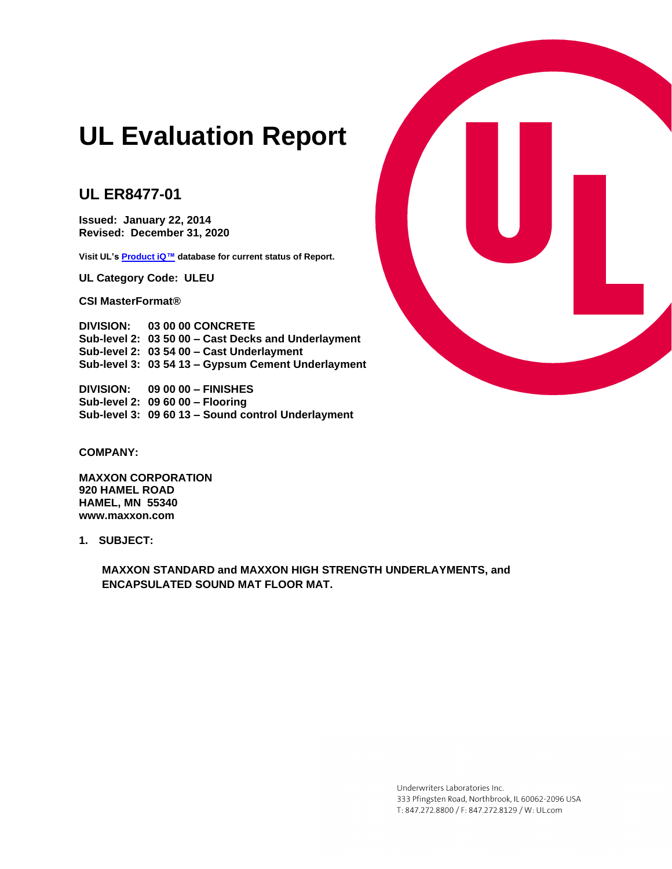# **UL Evaluation Report**

# **UL ER8477-01**

**Issued: January 22, 2014 Revised: December 31, 2020**

**Visit UL'[s Product iQ™](http://www.ul.com/erdirectory) database for current status of Report.** 

**UL Category Code: ULEU**

**CSI MasterFormat®**

**DIVISION: 03 00 00 CONCRETE Sub-level 2: 03 50 00 – Cast Decks and Underlayment Sub-level 2: 03 54 00 – Cast Underlayment Sub-level 3: 03 54 13 – Gypsum Cement Underlayment**

**DIVISION: 09 00 00 – FINISHES Sub-level 2: 09 60 00 – Flooring Sub-level 3: 09 60 13 – Sound control Underlayment**



**MAXXON CORPORATION 920 HAMEL ROAD HAMEL, MN 55340 www.maxxon.com**

**1. SUBJECT:**

**MAXXON STANDARD and MAXXON HIGH STRENGTH UNDERLAYMENTS, and ENCAPSULATED SOUND MAT FLOOR MAT.**



Underwriters Laboratories Inc. 333 Pfingsten Road, Northbrook, IL 60062-2096 USA T: 847.272.8800 / F: 847.272.8129 / W: UL.com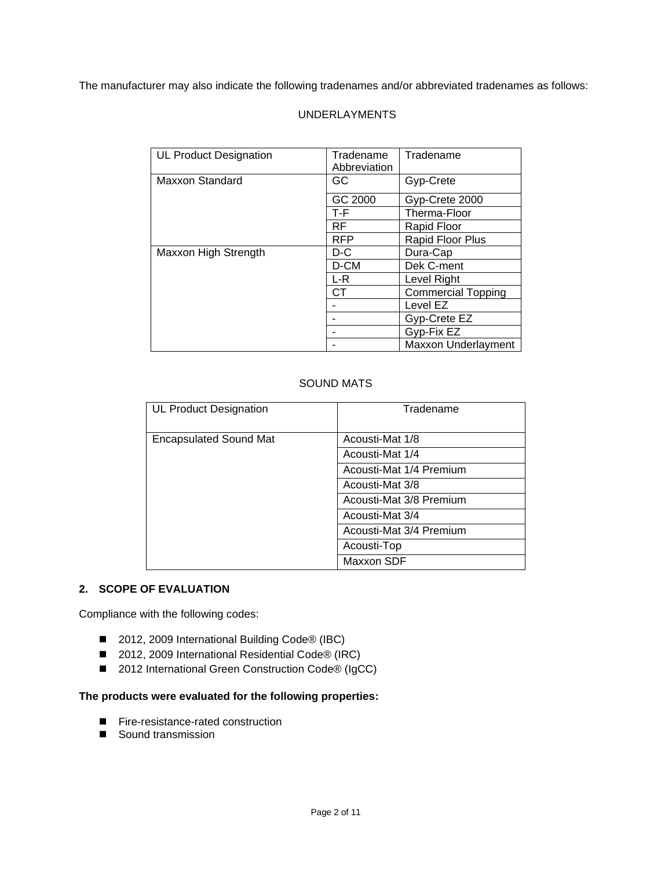The manufacturer may also indicate the following tradenames and/or abbreviated tradenames as follows:

# UNDERLAYMENTS

| <b>UL Product Designation</b> | Tradename    | Tradename                 |
|-------------------------------|--------------|---------------------------|
|                               | Abbreviation |                           |
| Maxxon Standard               | GC           | Gyp-Crete                 |
|                               | GC 2000      | Gyp-Crete 2000            |
|                               | $T-F$        | Therma-Floor              |
|                               | RF           | Rapid Floor               |
|                               | <b>RFP</b>   | Rapid Floor Plus          |
| Maxxon High Strength          | $D-C$        | Dura-Cap                  |
|                               | D-CM         | Dek C-ment                |
|                               | $L-R$        | Level Right               |
|                               | СT           | <b>Commercial Topping</b> |
|                               |              | Level EZ                  |
|                               |              | Gyp-Crete EZ              |
|                               |              | Gyp-Fix EZ                |
|                               |              | Maxxon Underlayment       |

# SOUND MATS

| <b>UL Product Designation</b> | Tradename               |
|-------------------------------|-------------------------|
| <b>Encapsulated Sound Mat</b> | Acousti-Mat 1/8         |
|                               | Acousti-Mat 1/4         |
|                               | Acousti-Mat 1/4 Premium |
|                               | Acousti-Mat 3/8         |
|                               | Acousti-Mat 3/8 Premium |
|                               | Acousti-Mat 3/4         |
|                               | Acousti-Mat 3/4 Premium |
|                               | Acousti-Top             |
|                               | Maxxon SDF              |

#### **2. SCOPE OF EVALUATION**

Compliance with the following codes:

- 2012, 2009 International Building Code<sup>®</sup> (IBC)
- 2012, 2009 International Residential Code® (IRC)
- 2012 International Green Construction Code® (IgCC)

# **The products were evaluated for the following properties:**

- Fire-resistance-rated construction
- Sound transmission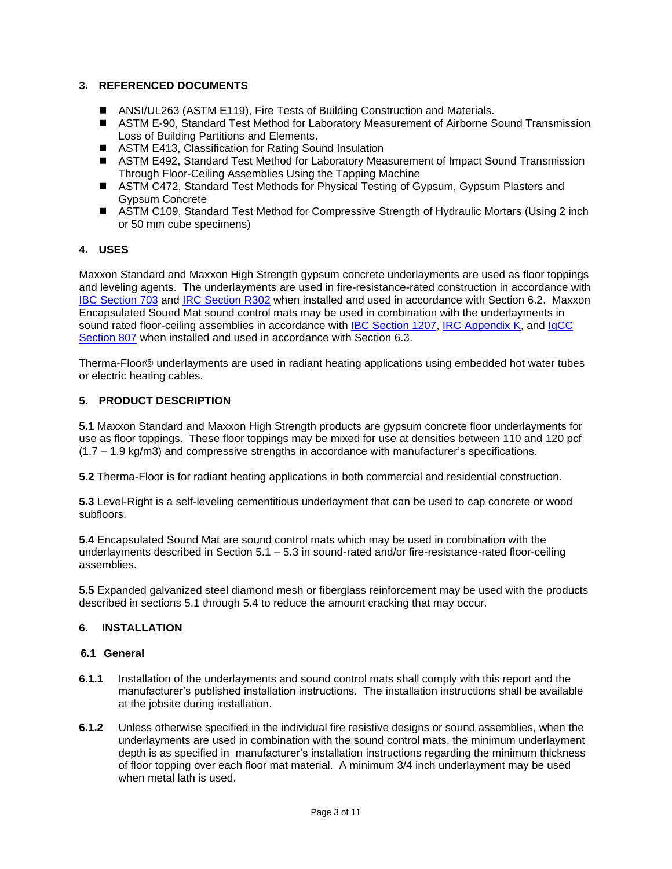# **3. REFERENCED DOCUMENTS**

- ANSI/UL263 (ASTM E119), Fire Tests of Building Construction and Materials.
- ASTM E-90, Standard Test Method for Laboratory Measurement of Airborne Sound Transmission Loss of Building Partitions and Elements.
- ASTM E413, Classification for Rating Sound Insulation
- ASTM E492, Standard Test Method for Laboratory Measurement of Impact Sound Transmission Through Floor-Ceiling Assemblies Using the Tapping Machine
- ASTM C472, Standard Test Methods for Physical Testing of Gypsum, Gypsum Plasters and Gypsum Concrete
- ASTM C109, Standard Test Method for Compressive Strength of Hydraulic Mortars (Using 2 inch or 50 mm cube specimens)

#### **4. USES**

Maxxon Standard and Maxxon High Strength gypsum concrete underlayments are used as floor toppings and leveling agents. The underlayments are used in fire-resistance-rated construction in accordance with [IBC Section 703](http://publicecodes.cyberregs.com/icod/ibc/2012/icod_ibc_2012_7_sec003.htm) and [IRC Section R302](http://publicecodes.cyberregs.com/icod/irc/2012/icod_irc_2012_3_sec002.htm?bu2=undefined) when installed and used in accordance with Section 6.2. Maxxon Encapsulated Sound Mat sound control mats may be used in combination with the underlayments in sound rated floor-ceiling assemblies in accordance with [IBC Section 1207,](http://publicecodes.cyberregs.com/icod/ibc/2012/icod_ibc_2012_12_sec007.htm) [IRC Appendix](http://publicecodes.cyberregs.com/icod/irc/2012/icod_irc_2012_appk_sec001.htm) K, and IgCC [Section 807](http://publicecodes.cyberregs.com/icod/igcc/2012/icod_igcc_2012_8_sec007.htm) when installed and used in accordance with Section 6.3.

Therma-Floor® underlayments are used in radiant heating applications using embedded hot water tubes or electric heating cables.

# **5. PRODUCT DESCRIPTION**

**5.1** Maxxon Standard and Maxxon High Strength products are gypsum concrete floor underlayments for use as floor toppings. These floor toppings may be mixed for use at densities between 110 and 120 pcf (1.7 – 1.9 kg/m3) and compressive strengths in accordance with manufacturer's specifications.

**5.2** Therma-Floor is for radiant heating applications in both commercial and residential construction.

**5.3** Level-Right is a self-leveling cementitious underlayment that can be used to cap concrete or wood subfloors.

**5.4** Encapsulated Sound Mat are sound control mats which may be used in combination with the underlayments described in Section 5.1 – 5.3 in sound-rated and/or fire-resistance-rated floor-ceiling assemblies.

**5.5** Expanded galvanized steel diamond mesh or fiberglass reinforcement may be used with the products described in sections 5.1 through 5.4 to reduce the amount cracking that may occur.

#### **6. INSTALLATION**

#### **6.1 General**

- **6.1.1** Installation of the underlayments and sound control mats shall comply with this report and the manufacturer's published installation instructions. The installation instructions shall be available at the jobsite during installation.
- **6.1.2** Unless otherwise specified in the individual fire resistive designs or sound assemblies, when the underlayments are used in combination with the sound control mats, the minimum underlayment depth is as specified in manufacturer's installation instructions regarding the minimum thickness of floor topping over each floor mat material. A minimum 3/4 inch underlayment may be used when metal lath is used.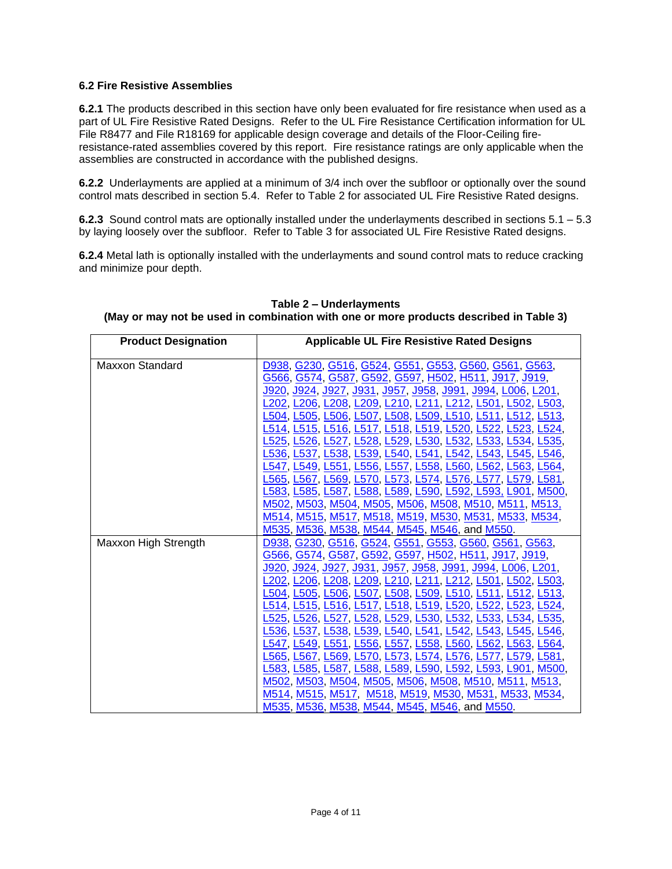#### **6.2 Fire Resistive Assemblies**

**6.2.1** The products described in this section have only been evaluated for fire resistance when used as a part of UL Fire Resistive Rated Designs. Refer to the UL Fire Resistance Certification information for UL File R8477 and File R18169 for applicable design coverage and details of the Floor-Ceiling fireresistance-rated assemblies covered by this report. Fire resistance ratings are only applicable when the assemblies are constructed in accordance with the published designs.

**6.2.2** Underlayments are applied at a minimum of 3/4 inch over the subfloor or optionally over the sound control mats described in section 5.4. Refer to Table 2 for associated UL Fire Resistive Rated designs.

**6.2.3** Sound control mats are optionally installed under the underlayments described in sections 5.1 – 5.3 by laying loosely over the subfloor. Refer to Table 3 for associated UL Fire Resistive Rated designs.

**6.2.4** Metal lath is optionally installed with the underlayments and sound control mats to reduce cracking and minimize pour depth.

| <b>Product Designation</b> | <b>Applicable UL Fire Resistive Rated Designs</b>                          |
|----------------------------|----------------------------------------------------------------------------|
| <b>Maxxon Standard</b>     | D938, G230, G516, G524, G551, G553, G560, G561, G563,                      |
|                            | G566, G574, G587, G592, G597, H502, H511, J917, J919,                      |
|                            |                                                                            |
|                            | <u> J920, J924, J927, J931, J957, J958, J991, J994, L006, L201,</u>        |
|                            | L202, L206, <u>L208, L209, L210, L211, L212, L501,</u> L <u>502, L503,</u> |
|                            | L504, L505, L506, L507, L508, L509, L510, L511, L512, L513,                |
|                            | L514, L515, L516, L517, L518, L519, L520, L522, L523, L524,                |
|                            | L525, L526, L527, L528, L529, L530, L532, L533, L534, L535,                |
|                            | L536, L537, L538, L539, L540, L541, L542, L543, L545, L546,                |
|                            | <u>L547, L549, L551, L556, L557, L558, L560, L562, L563, L564,</u>         |
|                            | L565, L567, L569, L570, L573, L574, L576, L577, L579, L581,                |
|                            | L583, L585, L587, L588, L589, L590, L592, L593, L901, M500,                |
|                            | M502, M503, M504, M505, M506, M508, M510, M511, M513,                      |
|                            | <u>M514, M515, M517, M518, M519, M530, M531, M533, M534,</u>               |
|                            | M535, M536, M538, M544, M545, M546, and M550.                              |
| Maxxon High Strength       | D938, G230, G516, G524, G551, G553, G560, G561, G563,                      |
|                            | <u>G566, G574, G587, G592, G597, H502, H511, J917, J919,</u>               |
|                            | <u>J920, J924, J927, J931, J957, J958, J991, J994, L006, L201,</u>         |
|                            | L202, L206, L208, L209, L210, L211, L212, L501, L502, L503,                |
|                            | L504, L505, L506, L507, L508, L509, L510, L511, L512, L513,                |
|                            | L514, L515, L516, L517, L518, L519, L520, L522, L523, L524,                |
|                            | L525, L526, L527, L528, L529, L530, L532, L533, L534, L535,                |
|                            | L536, L537, L538, L539, L540, L541, L542, L543, L545, L546,                |
|                            | L547, L549, L551, L556, L557, L558, L560, L562, L563, L564,                |
|                            | <u>L565, L567, L569, L570, L573, L574, L576, L577, L579, L581,</u>         |
|                            | <u>L583, L585, L587, L588, L589, L590, L592, L593, L901, M500,</u>         |
|                            | M502, M503, M504, M505, M506, M508, M510, M511, M513,                      |
|                            | M514, M515, M517, M518, M519, M530, M531, M533, M534,                      |
|                            | M535, M536, M538, M544, M545, M546, and M550.                              |

#### **Table 2 – Underlayments (May or may not be used in combination with one or more products described in Table 3)**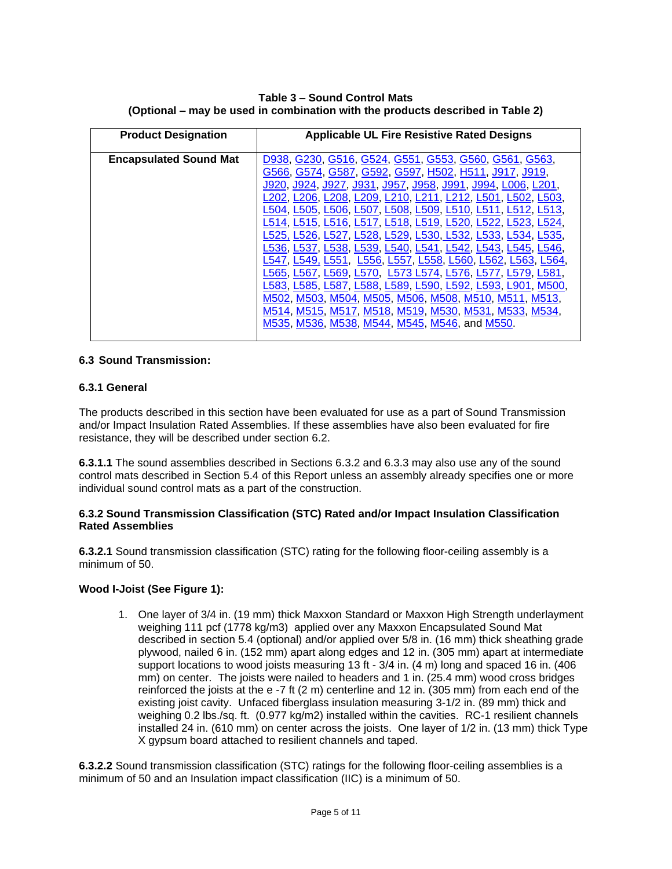**Table 3 – Sound Control Mats (Optional – may be used in combination with the products described in Table 2)**

| <b>Applicable UL Fire Resistive Rated Designs</b><br><b>Product Designation</b>                                                                                                                                                                                                                                                                                                                                                                                                                                                                                                                                                                                                                                                                                                                                                                                                                            |                        |
|------------------------------------------------------------------------------------------------------------------------------------------------------------------------------------------------------------------------------------------------------------------------------------------------------------------------------------------------------------------------------------------------------------------------------------------------------------------------------------------------------------------------------------------------------------------------------------------------------------------------------------------------------------------------------------------------------------------------------------------------------------------------------------------------------------------------------------------------------------------------------------------------------------|------------------------|
| <b>Encapsulated Sound Mat</b><br>D938, G230, G516, G524, G551, G553, G560, G561, G563,<br>G566, G574, G587, G592, G597, H502, H511, J917, J919,<br>, <u>J924, J927, J931, J957, J958, J991, J99</u> 4, L006, L201,<br>J920.<br>.202. L206. L208. L209. L210. L211. L212. L501. L502. L503.<br>L504, L505, L506, L507, L508, L509, L510, L511, L512, L513.<br>L514, L515, L516, L517, L518, L519, L520, L522,<br>L525, L526, L527, L528, L529, L530, L532, L533, L534, L535.<br>L536, L537, L538, L539, L540, L541, L542, L543, L545, L546.<br>L556, L557, L558, L560, L562, L563, L564,<br>L547 L549. L551<br>L573 L574, L576, L577,<br>L565 L567.<br>L569, L570.<br>L583, L585, L587, L588, L589, L590, L592, L593, L901, M500.<br>M502, M503, M504, M505, M506, M508, M510, M511, M513,<br><u>M514, M515, M517, M518, M519, M530, M531, M533, M534,</u><br>M535, M536, M538, M544, M545, M546, and M550. | L523 L524<br>L579 L581 |

#### **6.3 Sound Transmission:**

#### **6.3.1 General**

The products described in this section have been evaluated for use as a part of Sound Transmission and/or Impact Insulation Rated Assemblies. If these assemblies have also been evaluated for fire resistance, they will be described under section 6.2.

**6.3.1.1** The sound assemblies described in Sections 6.3.2 and 6.3.3 may also use any of the sound control mats described in Section 5.4 of this Report unless an assembly already specifies one or more individual sound control mats as a part of the construction.

#### **6.3.2 Sound Transmission Classification (STC) Rated and/or Impact Insulation Classification Rated Assemblies**

**6.3.2.1** Sound transmission classification (STC) rating for the following floor-ceiling assembly is a minimum of 50.

#### **Wood I-Joist (See Figure 1):**

1. One layer of 3/4 in. (19 mm) thick Maxxon Standard or Maxxon High Strength underlayment weighing 111 pcf (1778 kg/m3) applied over any Maxxon Encapsulated Sound Mat described in section 5.4 (optional) and/or applied over 5/8 in. (16 mm) thick sheathing grade plywood, nailed 6 in. (152 mm) apart along edges and 12 in. (305 mm) apart at intermediate support locations to wood joists measuring 13 ft - 3/4 in. (4 m) long and spaced 16 in. (406 mm) on center. The joists were nailed to headers and 1 in. (25.4 mm) wood cross bridges reinforced the joists at the e -7 ft (2 m) centerline and 12 in. (305 mm) from each end of the existing joist cavity. Unfaced fiberglass insulation measuring 3-1/2 in. (89 mm) thick and weighing 0.2 lbs./sq. ft. (0.977 kg/m2) installed within the cavities. RC-1 resilient channels installed 24 in. (610 mm) on center across the joists. One layer of 1/2 in. (13 mm) thick Type X gypsum board attached to resilient channels and taped.

**6.3.2.2** Sound transmission classification (STC) ratings for the following floor-ceiling assemblies is a minimum of 50 and an Insulation impact classification (IIC) is a minimum of 50.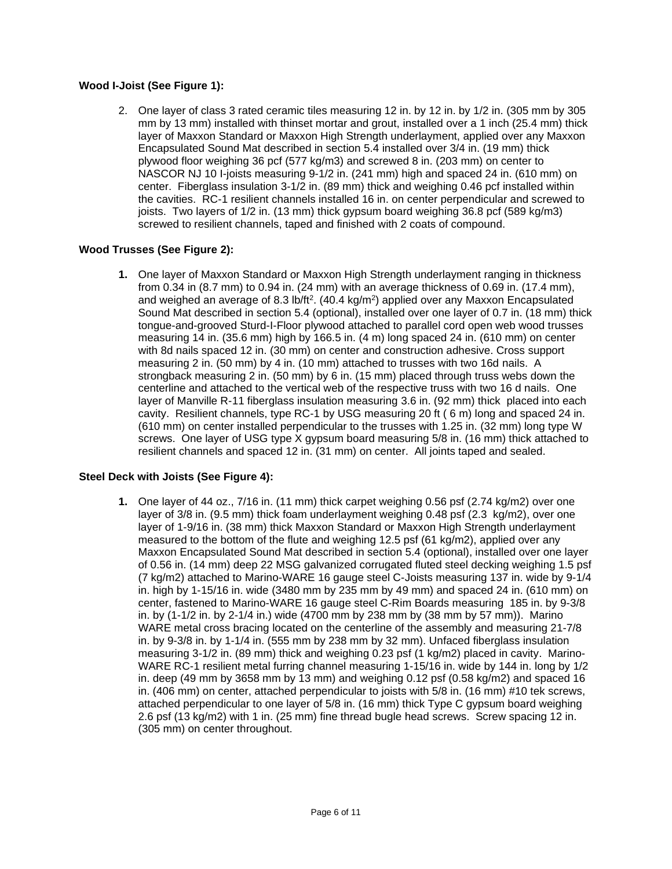## **Wood I-Joist (See Figure 1):**

2. One layer of class 3 rated ceramic tiles measuring 12 in. by 12 in. by 1/2 in. (305 mm by 305 mm by 13 mm) installed with thinset mortar and grout, installed over a 1 inch (25.4 mm) thick layer of Maxxon Standard or Maxxon High Strength underlayment, applied over any Maxxon Encapsulated Sound Mat described in section 5.4 installed over 3/4 in. (19 mm) thick plywood floor weighing 36 pcf (577 kg/m3) and screwed 8 in. (203 mm) on center to NASCOR NJ 10 I-joists measuring 9-1/2 in. (241 mm) high and spaced 24 in. (610 mm) on center. Fiberglass insulation 3-1/2 in. (89 mm) thick and weighing 0.46 pcf installed within the cavities. RC-1 resilient channels installed 16 in. on center perpendicular and screwed to joists. Two layers of 1/2 in. (13 mm) thick gypsum board weighing 36.8 pcf (589 kg/m3) screwed to resilient channels, taped and finished with 2 coats of compound.

#### **Wood Trusses (See Figure 2):**

**1.** One layer of Maxxon Standard or Maxxon High Strength underlayment ranging in thickness from 0.34 in (8.7 mm) to 0.94 in. (24 mm) with an average thickness of 0.69 in. (17.4 mm), and weighed an average of 8.3 lb/ft<sup>2</sup>. (40.4 kg/m<sup>2</sup>) applied over any Maxxon Encapsulated Sound Mat described in section 5.4 (optional), installed over one layer of 0.7 in. (18 mm) thick tongue-and-grooved Sturd-I-Floor plywood attached to parallel cord open web wood trusses measuring 14 in. (35.6 mm) high by 166.5 in. (4 m) long spaced 24 in. (610 mm) on center with 8d nails spaced 12 in. (30 mm) on center and construction adhesive. Cross support measuring 2 in. (50 mm) by 4 in. (10 mm) attached to trusses with two 16d nails. A strongback measuring 2 in. (50 mm) by 6 in. (15 mm) placed through truss webs down the centerline and attached to the vertical web of the respective truss with two 16 d nails. One layer of Manville R-11 fiberglass insulation measuring 3.6 in. (92 mm) thick placed into each cavity. Resilient channels, type RC-1 by USG measuring 20 ft ( 6 m) long and spaced 24 in. (610 mm) on center installed perpendicular to the trusses with 1.25 in. (32 mm) long type W screws. One layer of USG type X gypsum board measuring 5/8 in. (16 mm) thick attached to resilient channels and spaced 12 in. (31 mm) on center. All joints taped and sealed.

#### **Steel Deck with Joists (See Figure 4):**

**1.** One layer of 44 oz., 7/16 in. (11 mm) thick carpet weighing 0.56 psf (2.74 kg/m2) over one layer of 3/8 in. (9.5 mm) thick foam underlayment weighing 0.48 psf (2.3 kg/m2), over one layer of 1-9/16 in. (38 mm) thick Maxxon Standard or Maxxon High Strength underlayment measured to the bottom of the flute and weighing 12.5 psf (61 kg/m2), applied over any Maxxon Encapsulated Sound Mat described in section 5.4 (optional), installed over one layer of 0.56 in. (14 mm) deep 22 MSG galvanized corrugated fluted steel decking weighing 1.5 psf (7 kg/m2) attached to Marino-WARE 16 gauge steel C-Joists measuring 137 in. wide by 9-1/4 in. high by 1-15/16 in. wide (3480 mm by 235 mm by 49 mm) and spaced 24 in. (610 mm) on center, fastened to Marino-WARE 16 gauge steel C-Rim Boards measuring 185 in. by 9-3/8 in. by (1-1/2 in. by 2-1/4 in.) wide (4700 mm by 238 mm by (38 mm by 57 mm)). Marino WARE metal cross bracing located on the centerline of the assembly and measuring 21-7/8 in. by 9-3/8 in. by 1-1/4 in. (555 mm by 238 mm by 32 mm). Unfaced fiberglass insulation measuring 3-1/2 in. (89 mm) thick and weighing 0.23 psf (1 kg/m2) placed in cavity. Marino-WARE RC-1 resilient metal furring channel measuring 1-15/16 in. wide by 144 in. long by 1/2 in. deep (49 mm by 3658 mm by 13 mm) and weighing 0.12 psf  $(0.58 \text{ kg/m2})$  and spaced 16 in. (406 mm) on center, attached perpendicular to joists with 5/8 in. (16 mm) #10 tek screws, attached perpendicular to one layer of 5/8 in. (16 mm) thick Type C gypsum board weighing 2.6 psf (13 kg/m2) with 1 in. (25 mm) fine thread bugle head screws. Screw spacing 12 in. (305 mm) on center throughout.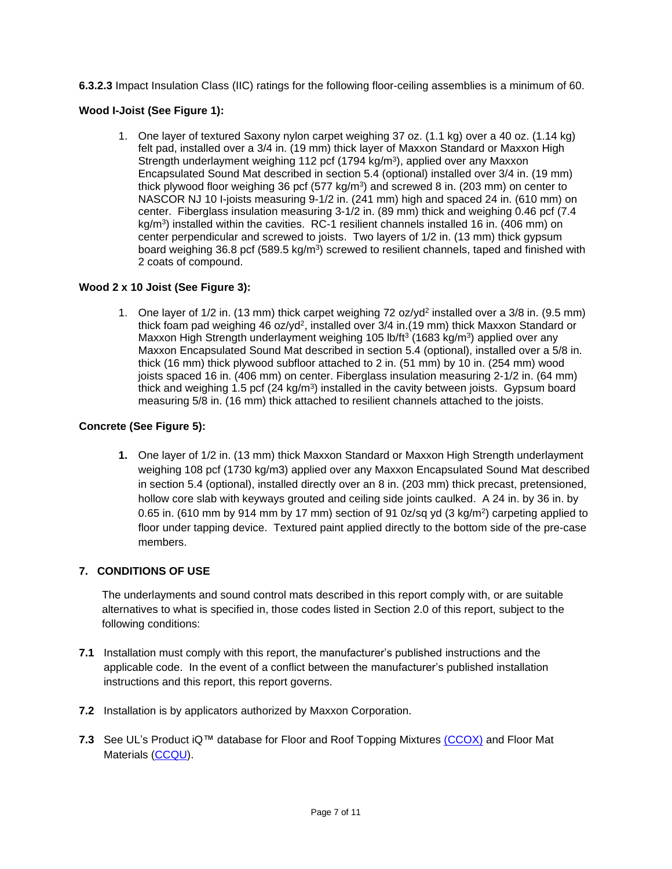**6.3.2.3** Impact Insulation Class (IIC) ratings for the following floor-ceiling assemblies is a minimum of 60.

# **Wood I-Joist (See Figure 1):**

1. One layer of textured Saxony nylon carpet weighing 37 oz. (1.1 kg) over a 40 oz. (1.14 kg) felt pad, installed over a 3/4 in. (19 mm) thick layer of Maxxon Standard or Maxxon High Strength underlayment weighing 112 pcf (1794 kg/m<sup>3</sup>), applied over any Maxxon Encapsulated Sound Mat described in section 5.4 (optional) installed over 3/4 in. (19 mm) thick plywood floor weighing 36 pcf (577 kg/m<sup>3</sup>) and screwed 8 in. (203 mm) on center to NASCOR NJ 10 I-joists measuring 9-1/2 in. (241 mm) high and spaced 24 in. (610 mm) on center. Fiberglass insulation measuring 3-1/2 in. (89 mm) thick and weighing 0.46 pcf (7.4 kg/m<sup>3</sup>) installed within the cavities. RC-1 resilient channels installed 16 in. (406 mm) on center perpendicular and screwed to joists. Two layers of 1/2 in. (13 mm) thick gypsum board weighing 36.8 pcf (589.5 kg/m<sup>3</sup>) screwed to resilient channels, taped and finished with 2 coats of compound.

# **Wood 2 x 10 Joist (See Figure 3):**

1. One layer of 1/2 in. (13 mm) thick carpet weighing 72 oz/yd<sup>2</sup> installed over a 3/8 in. (9.5 mm) thick foam pad weighing 46 oz/yd<sup>2</sup>, installed over 3/4 in.(19 mm) thick Maxxon Standard or Maxxon High Strength underlayment weighing 105 lb/ft<sup>3</sup> (1683 kg/m<sup>3</sup>) applied over any Maxxon Encapsulated Sound Mat described in section 5.4 (optional), installed over a 5/8 in. thick (16 mm) thick plywood subfloor attached to 2 in. (51 mm) by 10 in. (254 mm) wood joists spaced 16 in. (406 mm) on center. Fiberglass insulation measuring 2-1/2 in. (64 mm) thick and weighing 1.5 pcf (24 kg/m<sup>3</sup>) installed in the cavity between joists. Gypsum board measuring 5/8 in. (16 mm) thick attached to resilient channels attached to the joists.

# **Concrete (See Figure 5):**

**1.** One layer of 1/2 in. (13 mm) thick Maxxon Standard or Maxxon High Strength underlayment weighing 108 pcf (1730 kg/m3) applied over any Maxxon Encapsulated Sound Mat described in section 5.4 (optional), installed directly over an 8 in. (203 mm) thick precast, pretensioned, hollow core slab with keyways grouted and ceiling side joints caulked. A 24 in. by 36 in. by 0.65 in. (610 mm by 914 mm by 17 mm) section of 91 0z/sq yd (3 kg/m<sup>2</sup>) carpeting applied to floor under tapping device. Textured paint applied directly to the bottom side of the pre-case members.

# **7. CONDITIONS OF USE**

The underlayments and sound control mats described in this report comply with, or are suitable alternatives to what is specified in, those codes listed in Section 2.0 of this report, subject to the following conditions:

- **7.1** Installation must comply with this report, the manufacturer's published instructions and the applicable code. In the event of a conflict between the manufacturer's published installation instructions and this report, this report governs.
- **7.2** Installation is by applicators authorized by Maxxon Corporation.
- **7.3** See UL's Product iQ™ database for Floor and Roof Topping Mixtures [\(CCOX\)](http://database.ul.com/cgi-bin/XYV/template/LISEXT/1FRAME/showpage.html?name=CCOX.R8477&ccnshorttitle=Floor-+and+Roof-topping+Mixtures&objid=1074332931&cfgid=1073741824&version=versionless&parent_id=1073984941&sequence=1) and Floor Mat Materials [\(CCQU\)](http://database.ul.com/cgi-bin/XYV/template/LISEXT/1FRAME/showpage.html?name=CCQU.R18169&ccnshorttitle=Floor+Mat+Materials&objid=1074332931&cfgid=1073741824&version=versionless&parent_id=1073984941&sequence=1).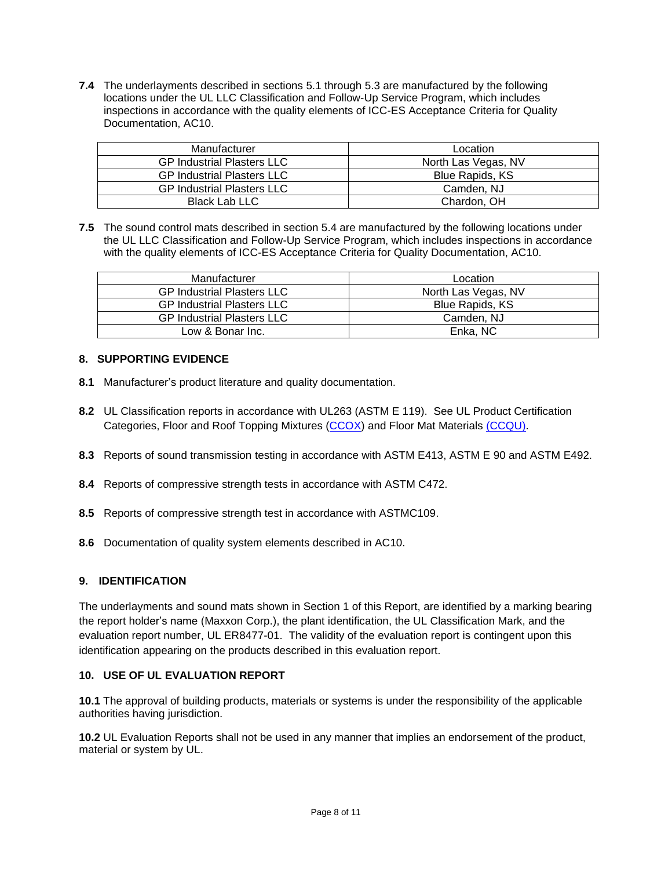**7.4** The underlayments described in sections 5.1 through 5.3 are manufactured by the following locations under the UL LLC Classification and Follow-Up Service Program, which includes inspections in accordance with the quality elements of ICC-ES Acceptance Criteria for Quality Documentation, AC10.

| Manufacturer                      | Location            |
|-----------------------------------|---------------------|
| <b>GP Industrial Plasters LLC</b> | North Las Vegas, NV |
| <b>GP Industrial Plasters LLC</b> | Blue Rapids, KS     |
| <b>GP Industrial Plasters LLC</b> | Camden, NJ          |
| Black Lab LLC                     | Chardon, OH         |

**7.5** The sound control mats described in section 5.4 are manufactured by the following locations under the UL LLC Classification and Follow-Up Service Program, which includes inspections in accordance with the quality elements of ICC-ES Acceptance Criteria for Quality Documentation, AC10.

| Manufacturer                      | Location               |
|-----------------------------------|------------------------|
| <b>GP Industrial Plasters LLC</b> | North Las Vegas, NV    |
| <b>GP Industrial Plasters LLC</b> | <b>Blue Rapids, KS</b> |
| <b>GP Industrial Plasters LLC</b> | Camden, NJ             |
| Low & Bonar Inc.                  | Enka, NC               |

# **8. SUPPORTING EVIDENCE**

- **8.1** Manufacturer's product literature and quality documentation.
- **8.2** UL Classification reports in accordance with UL263 (ASTM E 119). See UL Product Certification Categories, Floor and Roof Topping Mixtures [\(CCOX\)](http://database.ul.com/cgi-bin/XYV/template/LISEXT/1FRAME/showpage.html?name=CCOX.R8477&ccnshorttitle=Floor+Mat+Materials&objid=1074332931&cfgid=1073741824&version=versionless&parent_id=1073984941&sequence=1) and Floor Mat Materials [\(CCQU\).](http://database.ul.com/cgi-bin/XYV/template/LISEXT/1FRAME/showpage.html?name=CCQU.R18169&ccnshorttitle=Floor+Mat+Materials&objid=1074332931&cfgid=1073741824&version=versionless&parent_id=1073984941&sequence=1)
- **8.3** Reports of sound transmission testing in accordance with ASTM E413, ASTM E 90 and ASTM E492.
- **8.4** Reports of compressive strength tests in accordance with ASTM C472.
- **8.5** Reports of compressive strength test in accordance with ASTMC109.
- **8.6** Documentation of quality system elements described in AC10.

#### **9. IDENTIFICATION**

The underlayments and sound mats shown in Section 1 of this Report, are identified by a marking bearing the report holder's name (Maxxon Corp.), the plant identification, the UL Classification Mark, and the evaluation report number, UL ER8477-01. The validity of the evaluation report is contingent upon this identification appearing on the products described in this evaluation report.

#### **10. USE OF UL EVALUATION REPORT**

**10.1** The approval of building products, materials or systems is under the responsibility of the applicable authorities having jurisdiction.

**10.2** UL Evaluation Reports shall not be used in any manner that implies an endorsement of the product, material or system by UL.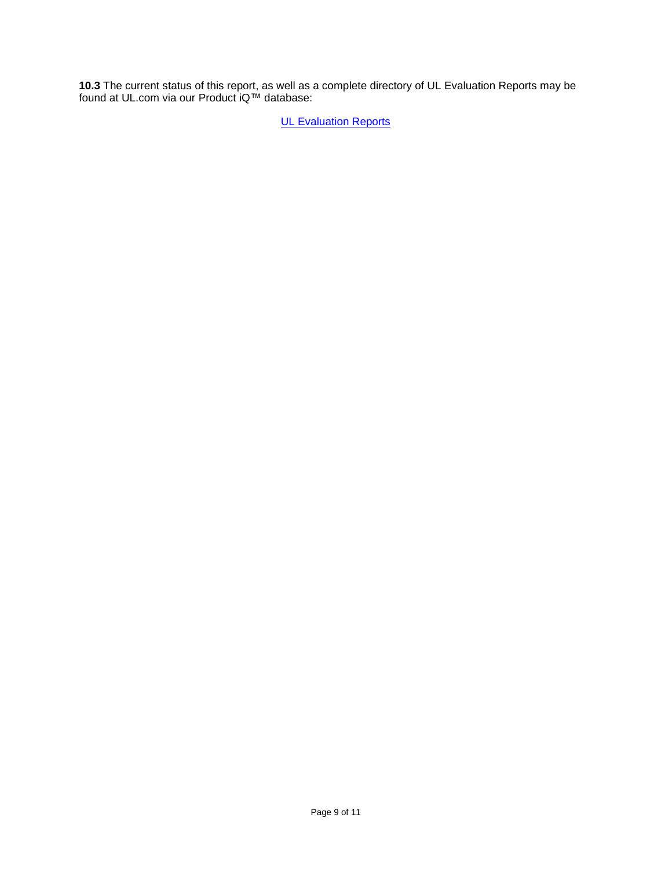**10.3** The current status of this report, as well as a complete directory of UL Evaluation Reports may be found at UL.com via our Product iQ™ database:

**[UL Evaluation Reports](http://www.ul.com/erdirectory)**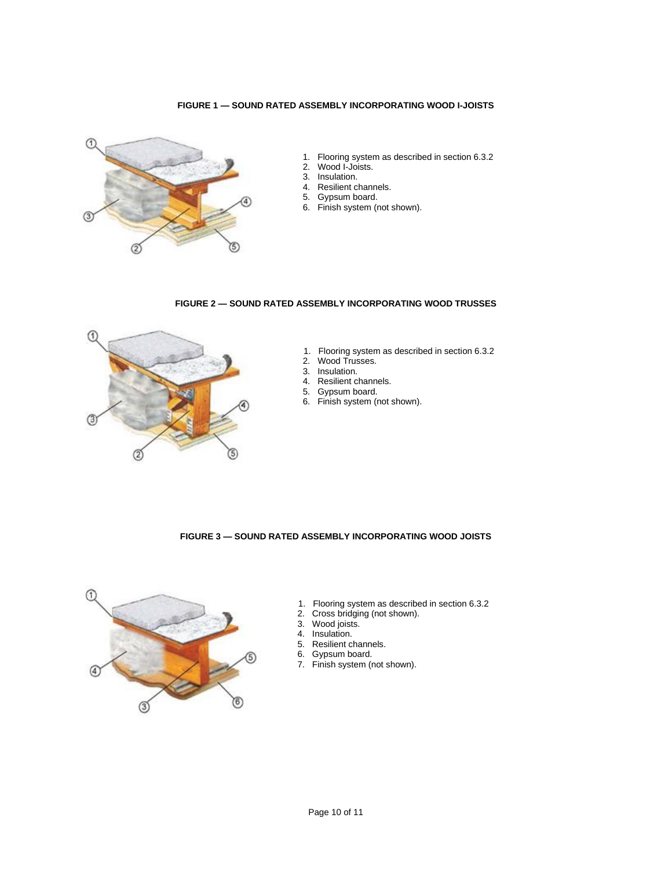#### **FIGURE 1 — SOUND RATED ASSEMBLY INCORPORATING WOOD I-JOISTS**



- 1. Flooring system as described in section 6.3.2
- 2. Wood I-Joists.
- 3. Insulation.
- 4. Resilient channels.
- 5. Gypsum board.
- 6. Finish system (not shown).

#### **FIGURE 2 — SOUND RATED ASSEMBLY INCORPORATING WOOD TRUSSES**



- 1. Flooring system as described in section 6.3.2
- 2. Wood Trusses.
- 3. Insulation.
- 4. Resilient channels.
- 5. Gypsum board.
- 6. Finish system (not shown).

#### **FIGURE 3 — SOUND RATED ASSEMBLY INCORPORATING WOOD JOISTS**



- 1. Flooring system as described in section 6.3.2<br>2. Cross bridging (not shown).
- Cross bridging (not shown).
- 3. Wood joists.
- 4. Insulation.<br>5. Resilient ch
- 5. Resilient channels.
- 6. Gypsum board.
- 7. Finish system (not shown).